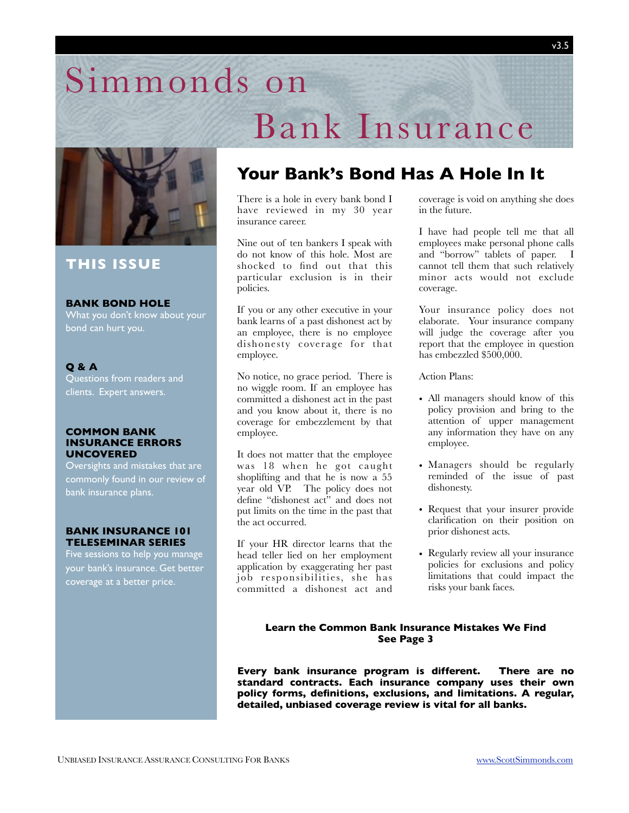## Simmonds on



#### **THIS ISSUE**

#### **BANK BOND HOLE**

What you don't know about your bond can hurt you.

#### **Q & A**

Questions from readers and clients. Expert answers.

#### **COMMON BANK INSURANCE ERRORS UNCOVERED**

Oversights and mistakes that are commonly found in our review of bank insurance plans.

#### **BANK INSURANCE 101 TELESEMINAR SERIES**

Five sessions to help you manage your bank's insurance. Get better coverage at a better price.

## **Your Bank's Bond Has A Hole In It**

 Bank Insurance

There is a hole in every bank bond I have reviewed in my 30 year insurance career.

Nine out of ten bankers I speak with do not know of this hole. Most are shocked to find out that this particular exclusion is in their policies.

If you or any other executive in your bank learns of a past dishonest act by an employee, there is no employee dishonesty coverage for that employee.

No notice, no grace period. There is no wiggle room. If an employee has committed a dishonest act in the past and you know about it, there is no coverage for embezzlement by that employee.

It does not matter that the employee was 18 when he got caught shoplifting and that he is now a 55 year old VP. The policy does not define "dishonest act" and does not put limits on the time in the past that the act occurred.

If your HR director learns that the head teller lied on her employment application by exaggerating her past job responsibilities, she has committed a dishonest act and coverage is void on anything she does in the future.

I have had people tell me that all employees make personal phone calls and "borrow" tablets of paper. I cannot tell them that such relatively minor acts would not exclude coverage.

Your insurance policy does not elaborate. Your insurance company will judge the coverage after you report that the employee in question has embezzled \$500,000.

#### Action Plans:

- All managers should know of this policy provision and bring to the attention of upper management any information they have on any employee.
- Managers should be regularly reminded of the issue of past dishonesty.
- Request that your insurer provide clarification on their position on prior dishonest acts.
- Regularly review all your insurance policies for exclusions and policy limitations that could impact the risks your bank faces.

#### **Learn the Common Bank Insurance Mistakes We Find See Page 3**

**Every bank insurance program is different. There are no standard contracts. Each insurance company uses their own policy forms, definitions, exclusions, and limitations. A regular, detailed, unbiased coverage review is vital for all banks.**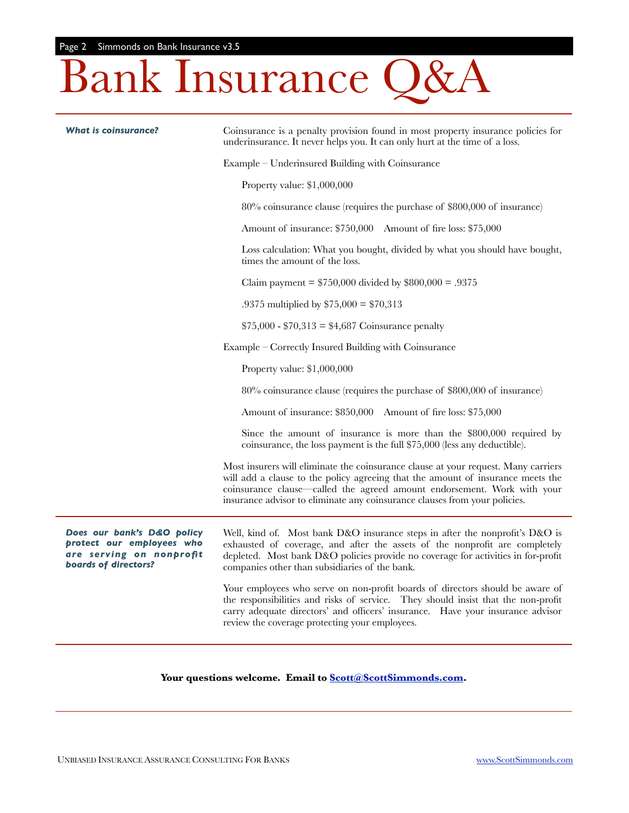# Bank Insurance Q&A

| <b>What is coinsurance?</b>                                                                                        | Coinsurance is a penalty provision found in most property insurance policies for<br>underinsurance. It never helps you. It can only hurt at the time of a loss.                                                                                                                                                                |
|--------------------------------------------------------------------------------------------------------------------|--------------------------------------------------------------------------------------------------------------------------------------------------------------------------------------------------------------------------------------------------------------------------------------------------------------------------------|
|                                                                                                                    | Example – Underinsured Building with Coinsurance                                                                                                                                                                                                                                                                               |
|                                                                                                                    | Property value: \$1,000,000                                                                                                                                                                                                                                                                                                    |
|                                                                                                                    | 80% coinsurance clause (requires the purchase of \$800,000 of insurance)                                                                                                                                                                                                                                                       |
|                                                                                                                    | Amount of insurance: \$750,000 Amount of fire loss: \$75,000                                                                                                                                                                                                                                                                   |
|                                                                                                                    | Loss calculation: What you bought, divided by what you should have bought,<br>times the amount of the loss.                                                                                                                                                                                                                    |
|                                                                                                                    | Claim payment = $$750,000$ divided by $$800,000 = .9375$                                                                                                                                                                                                                                                                       |
|                                                                                                                    | .9375 multiplied by $$75,000 = $70,313$                                                                                                                                                                                                                                                                                        |
|                                                                                                                    | $$75,000 - $70,313 = $4,687$ Coinsurance penalty                                                                                                                                                                                                                                                                               |
|                                                                                                                    | Example – Correctly Insured Building with Coinsurance                                                                                                                                                                                                                                                                          |
|                                                                                                                    | Property value: \$1,000,000                                                                                                                                                                                                                                                                                                    |
|                                                                                                                    | 80% coinsurance clause (requires the purchase of \$800,000 of insurance)                                                                                                                                                                                                                                                       |
|                                                                                                                    | Amount of insurance: \$850,000 Amount of fire loss: \$75,000                                                                                                                                                                                                                                                                   |
|                                                                                                                    | Since the amount of insurance is more than the \$800,000 required by<br>coinsurance, the loss payment is the full \$75,000 (less any deductible).                                                                                                                                                                              |
|                                                                                                                    | Most insurers will eliminate the coinsurance clause at your request. Many carriers<br>will add a clause to the policy agreeing that the amount of insurance meets the<br>coinsurance clause—called the agreed amount endorsement. Work with your<br>insurance advisor to eliminate any coinsurance clauses from your policies. |
| Does our bank's D&O policy<br>protect our employees who<br>are serving on nonprofit<br><b>boards of directors?</b> | Well, kind of. Most bank D&O insurance steps in after the nonprofit's D&O is<br>exhausted of coverage, and after the assets of the nonprofit are completely<br>depleted. Most bank D&O policies provide no coverage for activities in for-profit<br>companies other than subsidiaries of the bank.                             |
|                                                                                                                    | Your employees who serve on non-profit boards of directors should be aware of<br>the responsibilities and risks of service. They should insist that the non-profit<br>carry adequate directors' and officers' insurance. Have your insurance advisor<br>review the coverage protecting your employees.                         |

#### **Your questions welcome. Email to [Scott@ScottSimmonds.com.](mailto:Scott@ScottSimmonds.com)**

÷,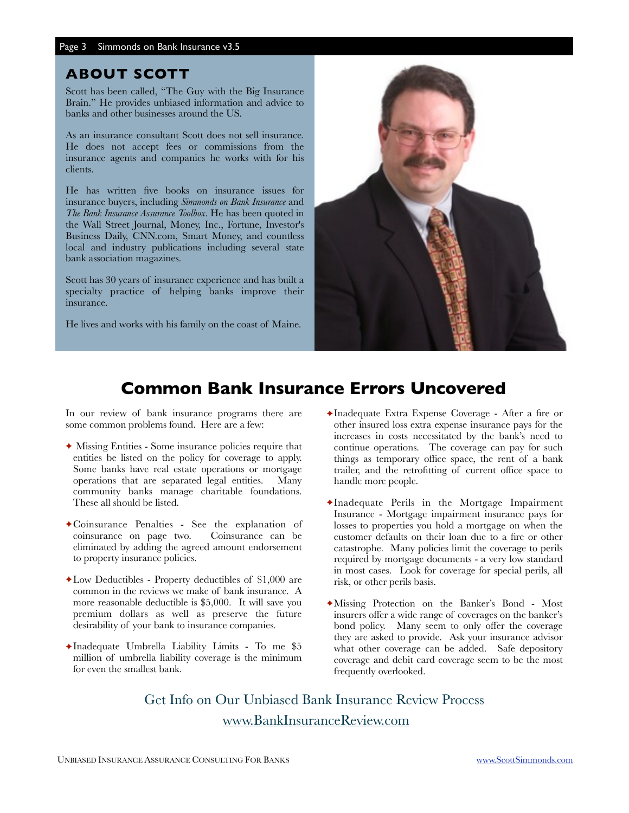#### **ABOUT SCOTT**

Scott has been called, "The Guy with the Big Insurance Brain." He provides unbiased information and advice to banks and other businesses around the US.

As an insurance consultant Scott does not sell insurance. He does not accept fees or commissions from the insurance agents and companies he works with for his clients.

He has written five books on insurance issues for insurance buyers, including *Simmonds on Bank Insurance* and *The Bank Insurance Assurance Toolbox*. He has been quoted in the Wall Street Journal, Money, Inc., Fortune, Investor's Business Daily, CNN.com, Smart Money, and countless local and industry publications including several state bank association magazines.

Scott has 30 years of insurance experience and has built a specialty practice of helping banks improve their insurance.

He lives and works with his family on the coast of Maine.



### **Common Bank Insurance Errors Uncovered**

In our review of bank insurance programs there are some common problems found. Here are a few:

- ✦ Missing Entities Some insurance policies require that entities be listed on the policy for coverage to apply. Some banks have real estate operations or mortgage operations that are separated legal entities. Many community banks manage charitable foundations. These all should be listed.
- ✦Coinsurance Penalties See the explanation of coinsurance on page two. eliminated by adding the agreed amount endorsement to property insurance policies.
- $\triangle$ Low Deductibles Property deductibles of \$1,000 are common in the reviews we make of bank insurance. A more reasonable deductible is \$5,000. It will save you premium dollars as well as preserve the future desirability of your bank to insurance companies.
- $\triangleleft$ Inadequate Umbrella Liability Limits To me \$5 million of umbrella liability coverage is the minimum for even the smallest bank.
- ✦Inadequate Extra Expense Coverage After a fire or other insured loss extra expense insurance pays for the increases in costs necessitated by the bank's need to continue operations. The coverage can pay for such things as temporary office space, the rent of a bank trailer, and the retrofitting of current office space to handle more people.
- ✦Inadequate Perils in the Mortgage Impairment Insurance - Mortgage impairment insurance pays for losses to properties you hold a mortgage on when the customer defaults on their loan due to a fire or other catastrophe. Many policies limit the coverage to perils required by mortgage documents - a very low standard in most cases. Look for coverage for special perils, all risk, or other perils basis.
- ✦Missing Protection on the Banker's Bond Most insurers offer a wide range of coverages on the banker's bond policy. Many seem to only offer the coverage they are asked to provide. Ask your insurance advisor what other coverage can be added. Safe depository coverage and debit card coverage seem to be the most frequently overlooked.

Get Info on Our Unbiased Bank Insurance Review Process [www.BankInsuranceReview.com](http://www.BankInsuranceReview.com)